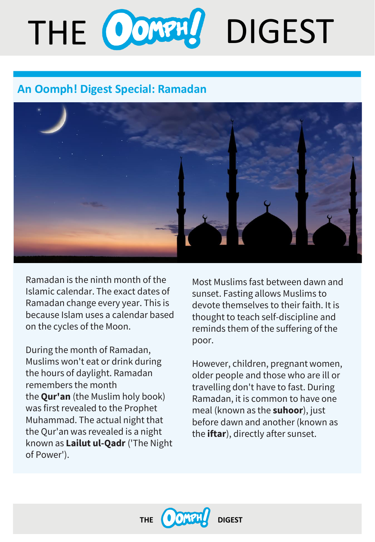# THE CONTUL DIGEST

# **An Oomph! Digest Special: Ramadan**



Ramadan is the ninth month of the Islamic calendar. The exact dates of Ramadan change every year. This is because Islam uses a calendar based on the cycles of the Moon.

During the month of Ramadan, Muslims won't eat or drink during the hours of daylight. Ramadan remembers the month the **Qur'an** (the Muslim holy book) was first revealed to the Prophet Muhammad. The actual night that the Qur'an was revealed is a night known as **Lailut ul-Qadr** ('The Night of Power').

Most Muslims fast between dawn and sunset. Fasting allows Muslims to devote themselves to their faith. It is thought to teach self-discipline and reminds them of the suffering of the poor.

However, children, pregnant women, older people and those who are ill or travelling don't have to fast. During Ramadan, it is common to have one meal (known as the **suhoor**), just before dawn and another (known as the **iftar**), directly after sunset.

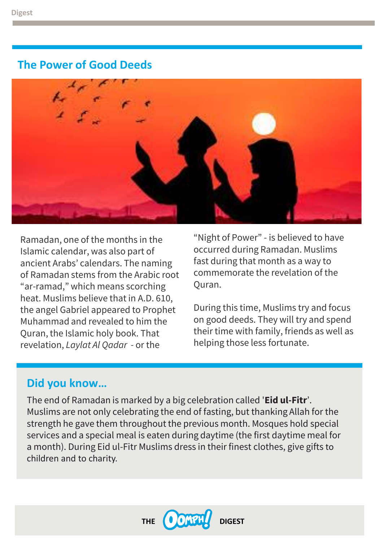# **The Power of Good Deeds**



Ramadan, one of the months in the Islamic calendar, was also part of ancient Arabs' calendars. The naming of Ramadan stems from the Arabic root "ar-ramad," which means scorching heat. Muslims believe that in A.D. 610, the angel Gabriel appeared to Prophet Muhammad and revealed to him the Quran, the Islamic holy book. That revelation, *Laylat Al Qadar -* or the

"Night of Power" - is believed to have occurred during Ramadan. Muslims fast during that month as a way to commemorate the revelation of the Quran.

During this time, Muslims try and focus on good deeds. They will try and spend their time with family, friends as well as helping those less fortunate.

# **Did you know…**

The end of Ramadan is marked by a big celebration called '**Eid ul-Fitr**'. Muslims are not only celebrating the end of fasting, but thanking Allah for the strength he gave them throughout the previous month. Mosques hold special services and a special meal is eaten during daytime (the first daytime meal for a month). During Eid ul-Fitr Muslims dress in their finest clothes, give gifts to children and to charity.

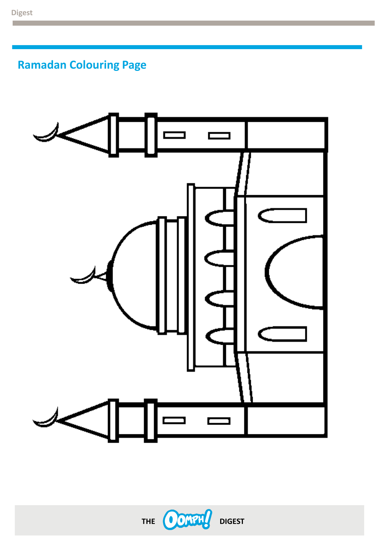**Ramadan Colouring Page**